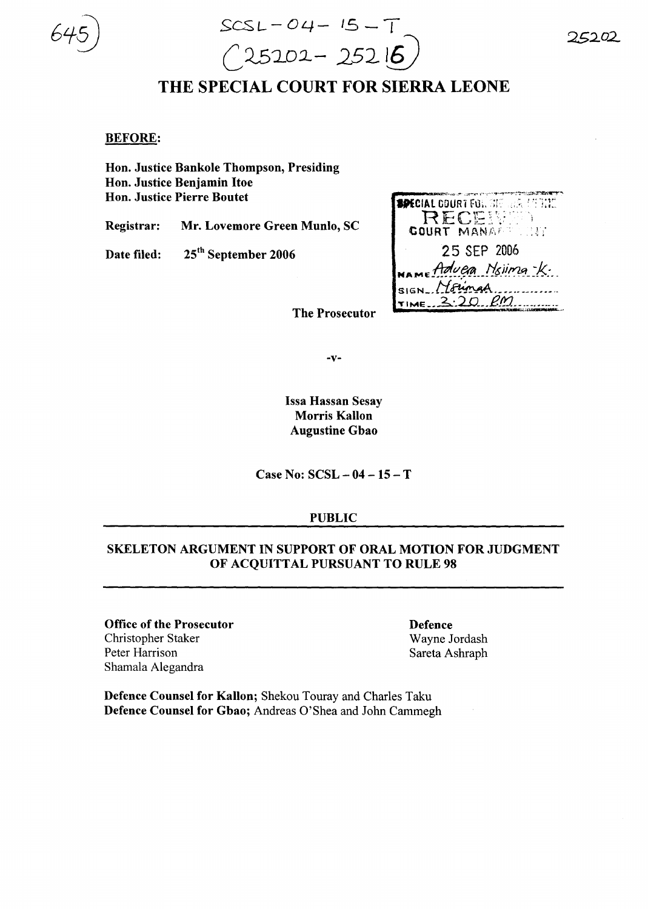SCSL- *04-* /5 - T  $(25202 - 25216)$ 

# THE SPECIAL COURT FOR SIERRA LEONE

#### BEFORE:

Hon. Justice Bankole Thompson, Presiding Hon. Justice Benjamin Hoe Hon. Justice Pierre Boutet

Registrar: Mr. Lovemore Green Munlo, SC

Date filed: 25<sup>th</sup> September 2006

| <b>SPECIAL COURT FOR STE REAL ATTITUDE</b>         |
|----------------------------------------------------|
| RECENTE                                            |
| <b>GOURT MANAGE CONT</b>                           |
| 25 SEP 2006                                        |
| NAME Advera Nsiima-K.                              |
| SIGN Mounar                                        |
| Time 2.20.8m<br><b>CONTRACTOR AND THE VALUE OF</b> |

The Prosecutor

-v-

Issa Hassan Sesay Morris Kallon Augustine Gbao

Case No: SCSL - 04 - 15 - T

#### PUBLIC

# SKELETON ARGUMENT IN SUPPORT OF ORAL MOTION FOR JUDGMENT OF ACQUITTAL PURSUANT TO RULE 98

Office of the Prosecutor Christopher Staker Peter Harrison Shamala Alegandra

Defence Wayne Jordash Sareta Ashraph

Defence Counsel for Kallon; Shekou Touray and Charles Taku Defence Counsel for Gbao; Andreas O'Shea and John Cammegh *25.202..*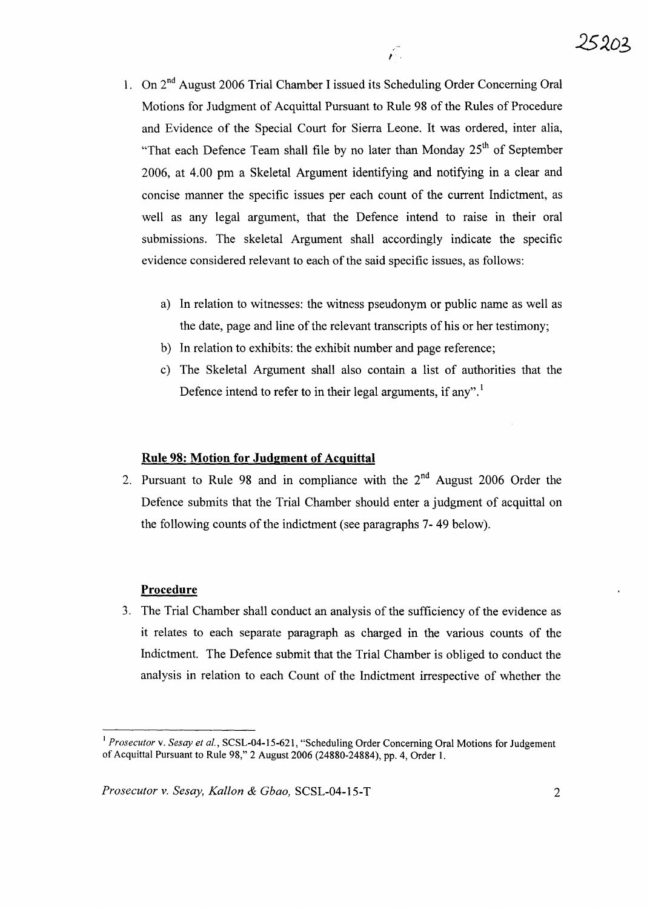1, On 2nd August 2006 Trial Chamber I issued its Scheduling Order Concerning Oral Motions for Judgment of Acquittal Pursuant to Rule 98 of the Rules of Procedure and Evidence of the Special Court for Sierra Leone. It was ordered, inter alia, "That each Defence Team shall file by no later than Monday 25<sup>th</sup> of September 2006, at 4.00 pm a Skeletal Argument identifying and notifying in a clear and concise manner the specific issues per each count of the current Indictment, as well as any legal argument, that the Defence intend to raise in their oral submissions. The skeletal Argument shall accordingly indicate the specific evidence considered relevant to each of the said specific issues, as follows:

 $\hat{r}$ 

- a) In relation to witnesses: the witness pseudonym or public name as well as the date, page and line of the relevant transcripts of his or her testimony;
- b) In relation to exhibits: the exhibit number and page reference;
- c) The Skeletal Argument shall also contain a list of authorities that the Defence intend to refer to in their legal arguments, if any".<sup>1</sup>

## **Rule 98: Motion for Judgment of Acquittal**

2. Pursuant to Rule 98 and in compliance with the  $2<sup>nd</sup>$  August 2006 Order the Defence submits that the Trial Chamber should enter a judgment of acquittal on the following counts of the indictment (see paragraphs 7-49 below).

#### **Procedure**

3. The Trial Chamber shall conduct an analysis of the sufficiency of the evidence as it relates to each separate paragraph as charged in the various counts of the Indictment. The Defence submit that the Trial Chamber is obliged to conduct the analysis in relation to each Count of the Indictment irrespective of whether the

<sup>&</sup>lt;sup>1</sup> Prosecutor v. Sesay et al., SCSL-04-15-621, "Scheduling Order Concerning Oral Motions for Judgement of Acquittal Pursuant to Rule 98," 2 August 2006 (24880-24884), pp. 4, Order I.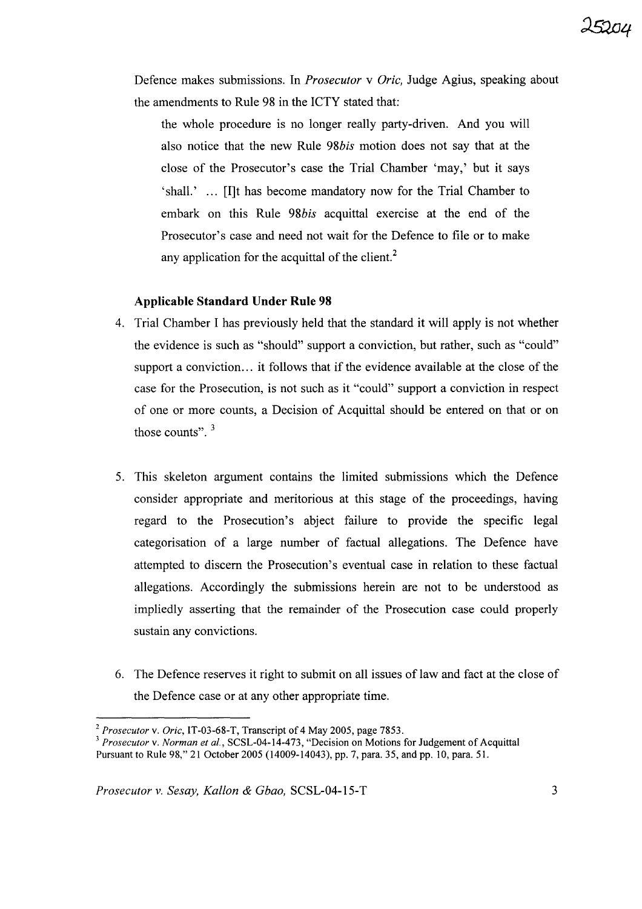Defence makes submissions. In *Prosecutor* v *Oric,* Judge Agius, speaking about the amendments to Rule 98 in the ICTY stated that:

the whole procedure is no longer really party-driven. And you will also notice that the new Rule *98bis* motion does not say that at the close of the Prosecutor's case the Trial Chamber 'may,' but it says 'shall.' ... [I]t has become mandatory now for the Trial Chamber to embark on this Rule *98bis* acquittal exercise at the end of the Prosecutor's case and need not wait for the Defence to file or to make any application for the acquittal of the client. $<sup>2</sup>$ </sup>

#### **Applicable Standard Under Rule 98**

- 4. Trial Chamber I has previously held that the standard it will apply is not whether the evidence is such as "should" support a conviction, but rather, such as "could" support a conviction... it follows that if the evidence available at the close of the case for the Prosecution, is not such as it "could" support a conviction in respect of one or more counts, a Decision of Acquittal should be entered on that or on those counts".  $3$
- 5. This skeleton argument contains the limited submissions which the Defence consider appropriate and meritorious at this stage of the proceedings, having regard to the Prosecution's abject failure to provide the specific legal categorisation of a large number of factual allegations. The Defence have attempted to discern the Prosecution's eventual case in relation to these factual allegations. Accordingly the submissions herein are not to be understood as impliedly asserting that the remainder of the Prosecution case could properly sustain any convictions.
- 6. The Defence reserves it right to submit on all issues of law and fact at the close of the Defence case or at any other appropriate time.

<sup>2</sup> *Prosecutor* v. *Oric,* IT-03-68-T, Transcript of 4 May 2005, page 7853.

*<sup>3</sup> Prosecutor* v. *Norman et aI.,* SCSL-04-14-473, "Decision on Motions for Judgement of Acquittal Pursuant to Rule 98," 21 October 2005 (14009-14043), pp. 7, para. 35, and pp. 10, para. 51.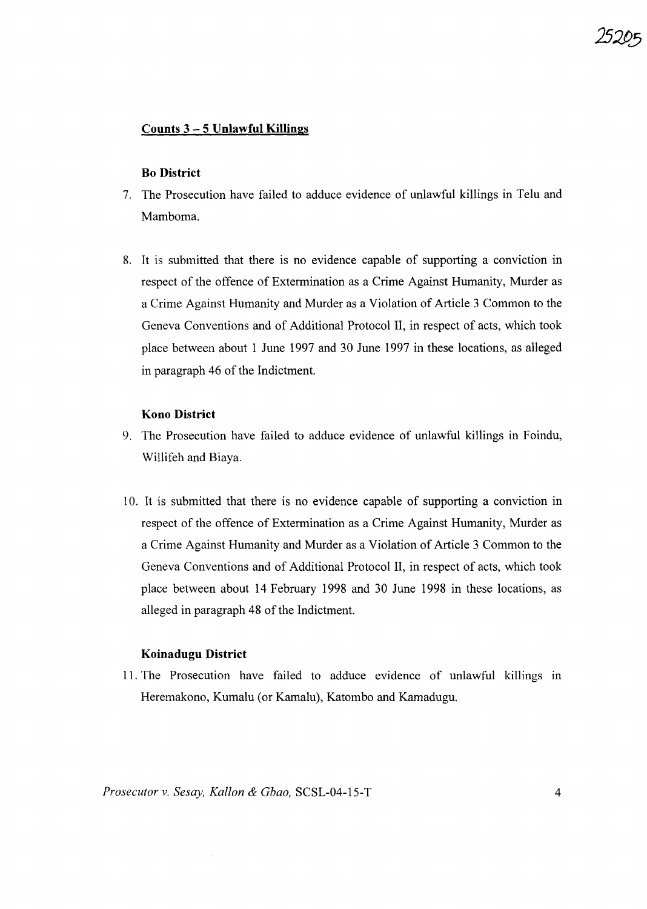#### **Counts 3 - 5 Unlawful Killings**

#### **Bo District**

- 7. The Prosecution have failed to adduce evidence of unlawful killings in Telu and Mamboma.
- 8. It is submitted that there is no evidence capable of supporting a conviction in respect of the offence of Extermination as a Crime Against Humanity, Murder as a Crime Against Humanity and Murder as a Violation of Article 3 Common to the Geneva Conventions and of Additional Protocol **II,** in respect of acts, which took place between about 1 June 1997 and 30 June 1997 in these locations, as alleged in paragraph 46 of the Indictment.

#### **Kono District**

- 9. The Prosecution have failed to adduce evidence of unlawful killings in Foindu, Willifeh and Biaya.
- 10. It is submitted that there is no evidence capable of supporting a conviction in respect of the offence of Extermination as a Crime Against Humanity, Murder as a Crime Against Humanity and Murder as a Violation of Article 3 Common to the Geneva Conventions and of Additional Protocol **II,** in respect of acts, which took place between about 14 February 1998 and 30 June 1998 in these locations, as alleged in paragraph 48 of the Indictment.

#### **Koinadugu District**

11. The Prosecution have failed to adduce evidence of unlawful killings in Heremakono, Kumalu (or Kamalu), Katombo and Kamadugu.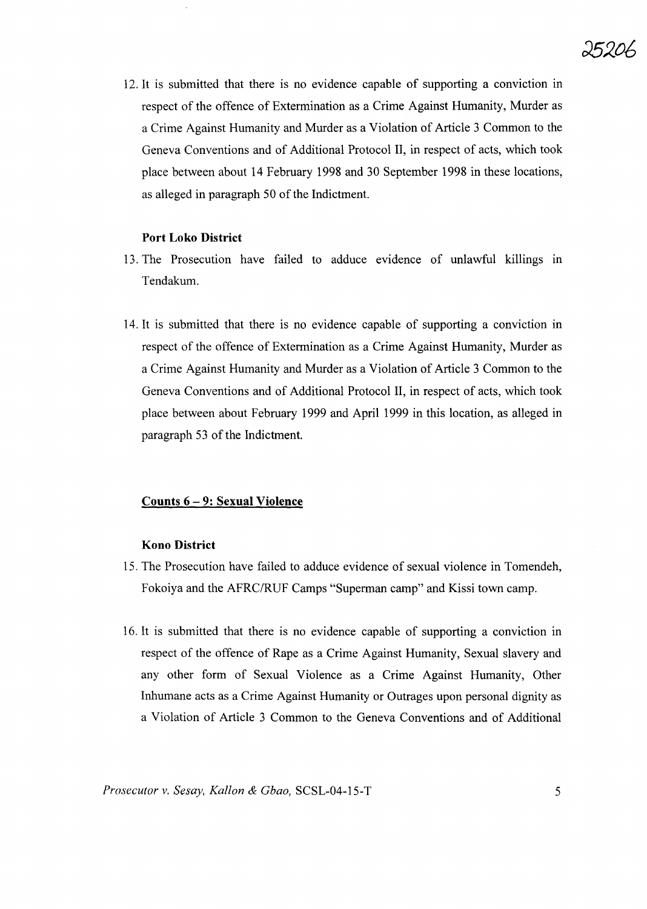

12. It is submitted that there is no evidence capable of supporting a conviction in respect of the offence of Extermination as a Crime Against Humanity, Murder as a Crime Against Humanity and Murder as a Violation of Article 3 Common to the Geneva Conventions and of Additional Protocol **II,** in respect of acts, which took place between about 14 February 1998 and 30 September 1998 in these locations, as alleged in paragraph 50 of the Indictment.

# **Port Loko District**

- 13. The Prosecution have failed to adduce evidence of unlawful killings in Tendakum.
- 14. It is submitted that there is no evidence capable of supporting a conviction in respect of the offence of Extermination as a Crime Against Humanity, Murder as a Crime Against Humanity and Murder as a Violation of Article 3 Common to the Geneva Conventions and of Additional Protocol **II,** in respect of acts, which took place between about February 1999 and April 1999 in this location, as alleged in paragraph 53 of the Indictment.

#### **Counts 6 - 9: Sexual Violence**

# **Kono District**

- 15. The Prosecution have failed to adduce evidence of sexual violence in Tomendeh, Fokoiya and the AFRC/RUF Camps "Superman camp" and Kissi town camp.
- 16. It is submitted that there is no evidence capable of supporting a conviction in respect of the offence of Rape as a Crime Against Humanity, Sexual slavery and any other form of Sexual Violence as a Crime Against Humanity, Other Inhumane acts as a Crime Against Humanity or Outrages upon personal dignity as a Violation of Article 3 Common to the Geneva Conventions and of Additional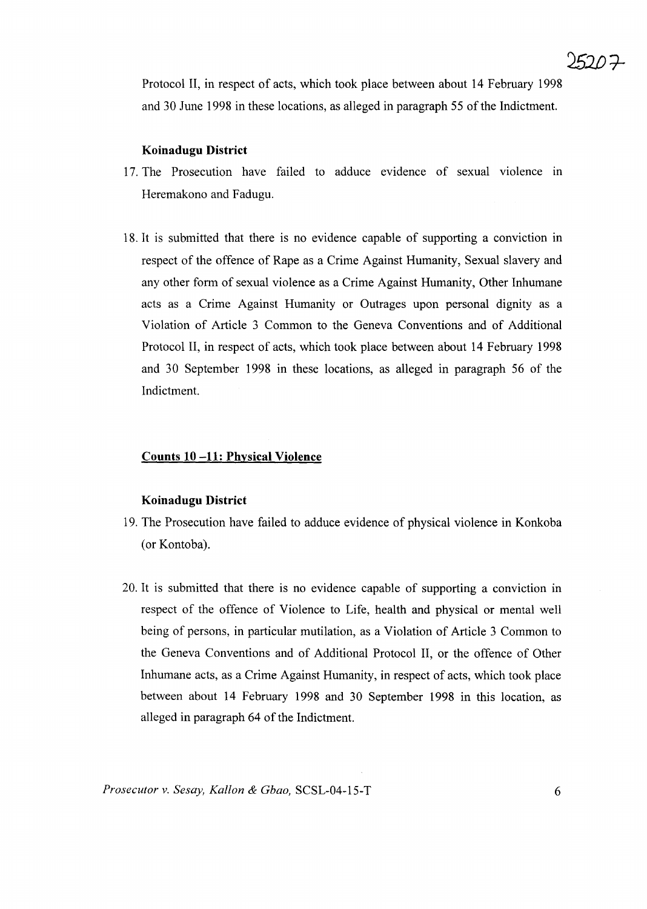Protocol II, in respect of acts, which took place between about 14 February 1998 and 30 June 1998 in these locations, as alleged in paragraph 55 of the Indictment.

#### **Koinadugu District**

- 17. The Prosecution have failed to adduce evidence of sexual violence in Heremakono and Fadugu.
- 18. It is submitted that there is no evidence capable of supporting a conviction in respect of the offence of Rape as a Crime Against Humanity, Sexual slavery and any other form of sexual violence as a Crime Against Humanity, Other Inhumane acts as a Crime Against Humanity or Outrages upon personal dignity as a Violation of Article 3 Common to the Geneva Conventions and of Additional Protocol II, in respect of acts, which took place between about 14 February 1998 and 30 September 1998 in these locations, as alleged in paragraph 56 of the Indictment.

#### **Counts 10 -11: Physical Violence**

#### **Koinadugu District**

- 19. The Prosecution have failed to adduce evidence of physical violence in Konkoba (or Kontoba).
- 20. It is submitted that there is no evidence capable of supporting a conviction in respect of the offence of Violence to Life, health and physical or mental well being of persons, in particular mutilation, as a Violation of Article 3 Common to the Geneva Conventions and of Additional Protocol II, or the offence of Other Inhumane acts, as a Crime Against Humanity, in respect of acts, which took place between about 14 February 1998 and 30 September 1998 in this location, as alleged in paragraph 64 of the Indictment.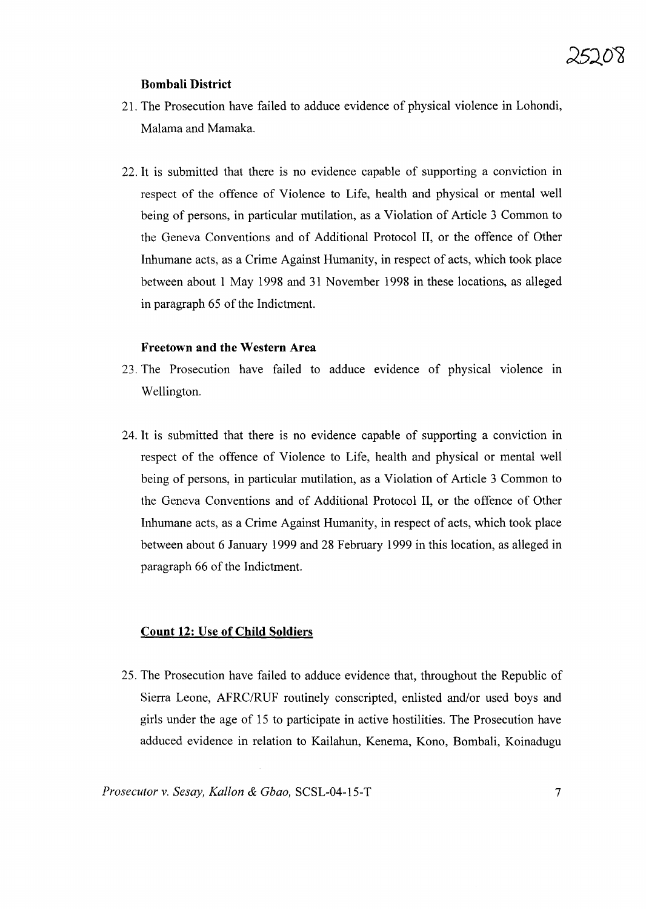#### **Bombali District**

- 21. The Prosecution have failed to adduce evidence of physical violence in Lohondi, Malama and Mamaka.
- 22. It is submitted that there is no evidence capable of supporting a conviction in respect of the offence of Violence to Life, health and physical or mental well being of persons, in particular mutilation, as a Violation of Article 3 Common to the Geneva Conventions and of Additional Protocol **II,** or the offence of Other Inhumane acts, as a Crime Against Humanity, in respect of acts, which took place between about 1 May 1998 and 31 November 1998 in these locations, as alleged in paragraph 65 of the Indictment.

#### **Freetown and the Western Area**

- 23. The Prosecution have failed to adduce evidence of physical violence in Wellington.
- 24. It is submitted that there is no evidence capable of supporting a conviction in respect of the offence of Violence to Life, health and physical or mental well being of persons, in particular mutilation, as a Violation of Article 3 Common to the Geneva Conventions and of Additional Protocol **II,** or the offence of Other Inhumane acts, as a Crime Against Humanity, in respect of acts, which took place between about 6 January 1999 and 28 February 1999 in this location, as alleged in paragraph 66 of the Indictment.

#### **Count 12: Use of Child Soldiers**

25. The Prosecution have failed to adduce evidence that, throughout the Republic of Sierra Leone, AFRC/RUF routinely conscripted, enlisted and/or used boys and girls under the age of 15 to participate in active hostilities. The Prosecution have adduced evidence in relation to Kailahun, Kenema, Kono, Bombali, Koinadugu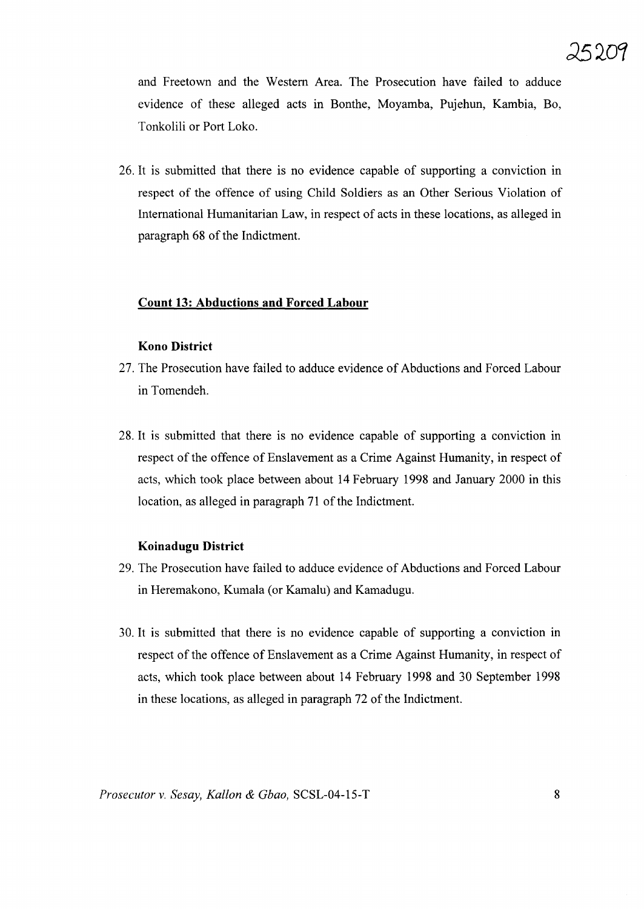and Freetown and the Western Area. The Prosecution have failed to adduce evidence of these alleged acts in Bonthe, Moyamba, Pujehun, Kambia, Bo, Tonkolili or Port Loko.

26. It is submitted that there is no evidence capable of supporting a conviction in respect of the offence of using Child Soldiers as an Other Serious Violation of International Humanitarian Law, in respect of acts in these locations, as alleged in paragraph 68 of the Indictment.

#### **Count 13: Abductions and Forced Labour**

#### **Kono District**

- 27. The Prosecution have failed to adduce evidence of Abductions and Forced Labour in Tomendeh.
- 28. It is submitted that there is no evidence capable of supporting a conviction in respect of the offence of Enslavement as a Crime Against Humanity, in respect of acts, which took place between about **14** February 1998 and January 2000 in this location, as alleged in paragraph 71 of the Indictment.

#### **Koinadugu District**

- 29. The Prosecution have failed to adduce evidence of Abductions and Forced Labour in Heremakono, Kumala (or Kamalu) and Kamadugu.
- 30. It is submitted that there is no evidence capable of supporting a conviction in respect of the offence of Enslavement as a Crime Against Humanity, in respect of acts, which took place between about **14** February 1998 and 30 September 1998 in these locations, as alleged in paragraph 72 of the Indictment.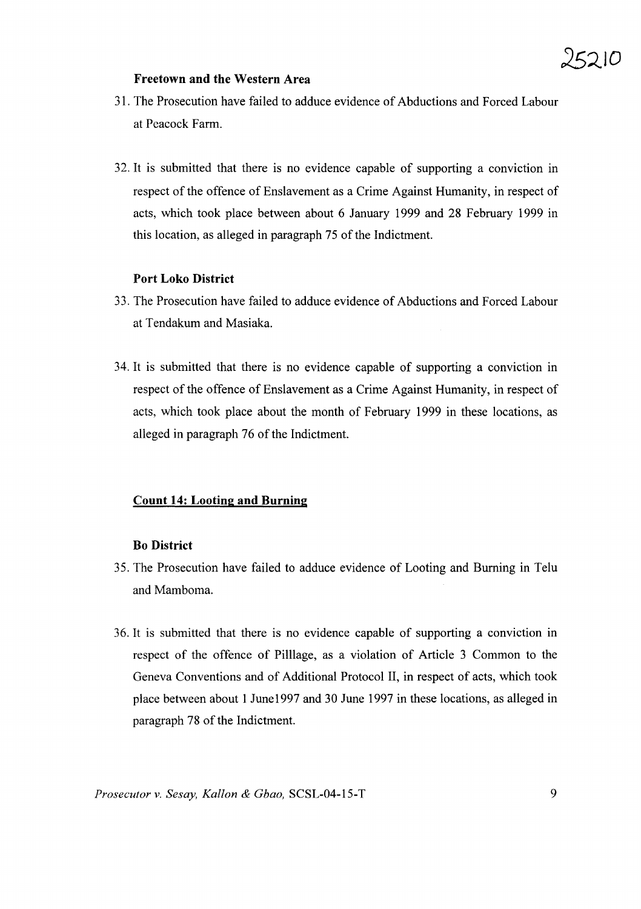#### **Freetown and the Western Area**

- 31. The Prosecution have failed to adduce evidence of Abductions and Forced Labour at Peacock Farm.
- 32. It is submitted that there is no evidence capable of supporting a conviction in respect of the offence of Enslavement as a Crime Against Humanity, in respect of acts, which took place between about 6 January 1999 and 28 February 1999 in this location, as alleged in paragraph 75 of the Indictment.

# **Port Loko District**

- 33. The Prosecution have failed to adduce evidence of Abductions and Forced Labour at Tendakum and Masiaka.
- 34. It is submitted that there is no evidence capable of supporting a conviction in respect of the offence of Enslavement as a Crime Against Humanity, in respect of acts, which took place about the month of February 1999 in these locations, as alleged in paragraph 76 of the Indictment.

# **Count 14: Looting and Burning**

#### **Bo District**

- 35. The Prosecution have failed to adduce evidence of Looting and Burning in Telu and Mamboma.
- 36. It is submitted that there is no evidence capable of supporting a conviction in respect of the offence of Pilllage, as a violation of Article 3 Common to the Geneva Conventions and of Additional Protocol II, in respect of acts, which took place between about 1June1997 and 30 June 1997 in these locations, as alleged in paragraph 78 of the Indictment.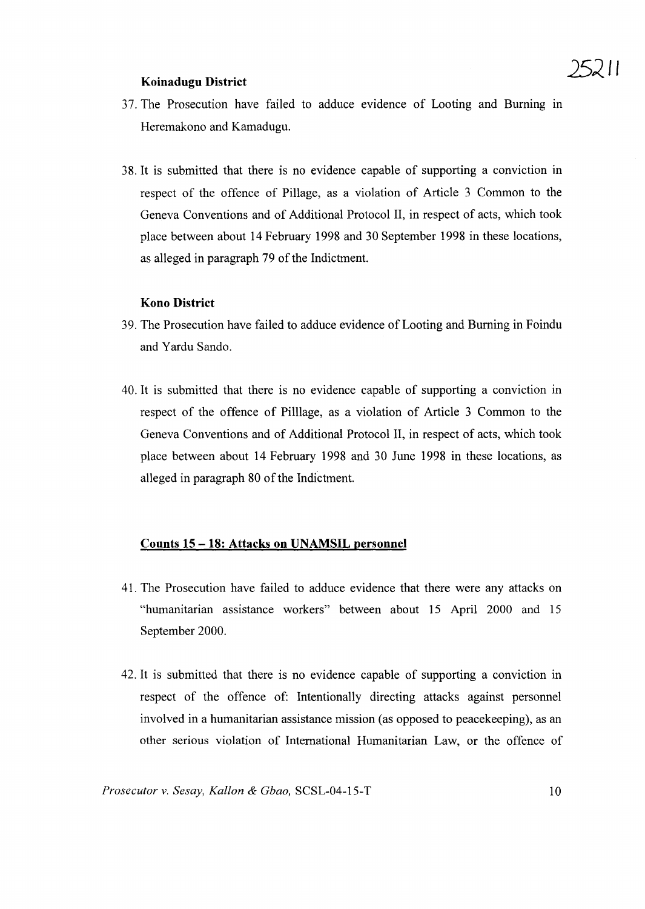## **Koinadugu District**

- 37. The Prosecution have failed to adduce evidence of Looting and Burning in Heremakono and Kamadugu.
- 38. It is submitted that there is no evidence capable of supporting a conviction in respect of the offence of Pillage, as a violation of Article 3 Common to the Geneva Conventions and of Additional Protocol II, in respect of acts, which took place between about 14 February 1998 and 30 September 1998 in these locations, as alleged in paragraph 79 of the Indictment.

# **Kono District**

- 39. The Prosecution have failed to adduce evidence of Looting and Burning in Foindu and Yardu Sando.
- 40. It is submitted that there is no evidence capable of supporting a conviction in respect of the offence of Pilllage, as a violation of Article 3 Common to the Geneva Conventions and of Additional Protocol II, in respect of acts, which took place between about 14 February 1998 and 30 June 1998 in these locations, as alleged in paragraph 80 of the Indictment.

#### **Counts 15 - 18: Attacks on UNAMSIL personnel**

- 41. The Prosecution have failed to adduce evidence that there were any attacks on "humanitarian assistance workers" between about 15 April 2000 and 15 September 2000.
- 42. It is submitted that there is no evidence capable of supporting a conviction in respect of the offence of: Intentionally directing attacks against personnel involved in a humanitarian assistance mission (as opposed to peacekeeping), as an other serious violation of International Humanitarian Law, or the offence of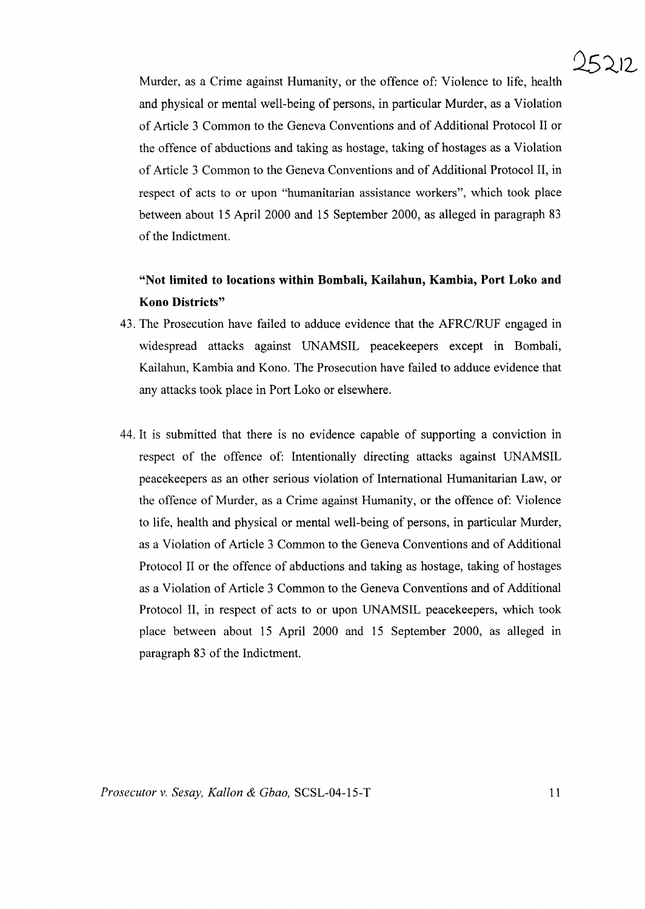

Murder, as a Crime against Humanity, or the offence of: Violence to life, health and physical or mental well-being of persons, in particular Murder, as a Violation of Article 3 Common to the Geneva Conventions and of Additional Protocol II or the offence of abductions and taking as hostage, taking of hostages as a Violation of Article 3 Common to the Geneva Conventions and of Additional Protocol II, in respect of acts to or upon "humanitarian assistance workers", which took place between about 15 April 2000 and 15 September 2000, as alleged in paragraph 83 of the Indictment.

# **"Not limited to locations within Bombali, Kailahun, Kambia, Port Loko and Kono Districts"**

- 43. The Prosecution have failed to adduce evidence that the AFRC/RUF engaged in widespread attacks against UNAMSIL peacekeepers except in Bombali, Kailahun, Kambia and Kono. The Prosecution have failed to adduce evidence that any attacks took place in Port Loko or elsewhere.
- 44. It is submitted that there is no evidence capable of supporting a conviction in respect of the offence of: Intentionally directing attacks against UNAMSIL peacekeepers as an other serious violation of International Humanitarian Law, or the offence of Murder, as a Crime against Humanity, or the offence of: Violence to life, health and physical or mental well-being of persons, in particular Murder, as a Violation of Article 3 Common to the Geneva Conventions and of Additional Protocol II or the offence of abductions and taking as hostage, taking of hostages as a Violation of Article 3 Common to the Geneva Conventions and of Additional Protocol II, in respect of acts to or upon UNAMSIL peacekeepers, which took place between about 15 April 2000 and 15 September 2000, as alleged in paragraph 83 of the Indictment.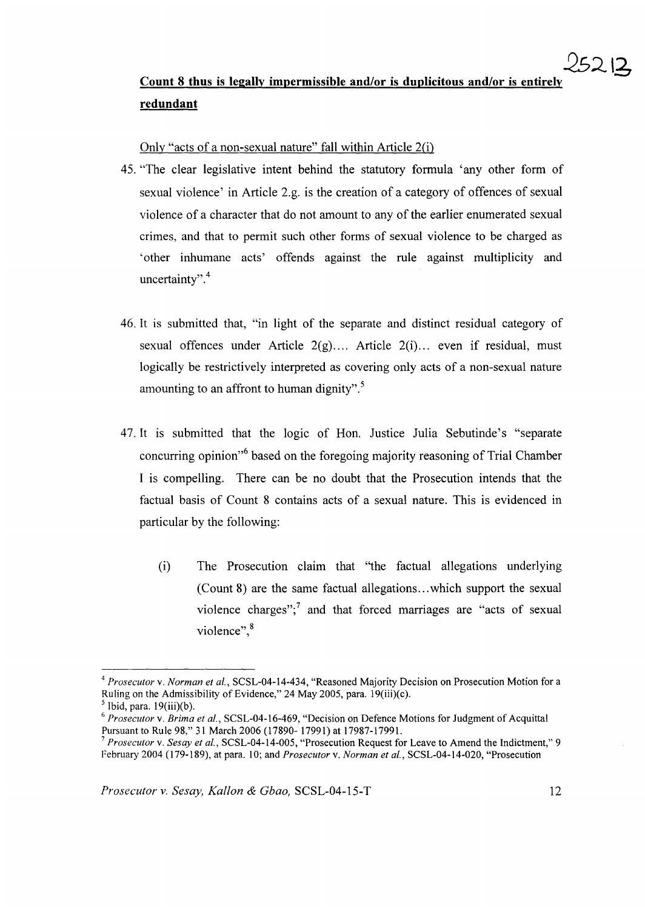# **Count 8 thus is legally impermissible and/or is duplicitous and/or is entirely redundant**

Only "acts of a non-sexual nature" fall within Article 2(i)

- 45. "The clear legislative intent behind the statutory formula 'any other form of sexual violence' in Article 2.g. is the creation of a category of offences of sexual violence of a character that do not amount to any of the earlier enumerated sexual crimes, and that to permit such other forms of sexual violence to be charged as 'other inhumane acts' offends against the rule against multiplicity and uncertainty".<sup>4</sup>
- 46. It is submitted that, "in light of the separate and distinct residual category of sexual offences under Article 2(g).... Article 2(i)... even if residual, must logically be restrictively interpreted as covering only acts of a non-sexual nature amounting to an affront to human dignity".<sup>5</sup>
- 47. It is submitted that the logic of Hon. Justice Julia Sebutinde's "separate concurring opinion<sup>%</sup> based on the foregoing majority reasoning of Trial Chamber I is compelling. There can be no doubt that the Prosecution intends that the factual basis of Count 8 contains acts of a sexual nature. This is evidenced in particular by the following:
	- (i) The Prosecution claim that "the factual allegations underlying (Count 8) are the same factual allegations...which support the sexual violence charges"; $<sup>7</sup>$  and that forced marriages are "acts of sexual</sup> violence",<sup>8</sup>

*<sup>4</sup> Prosecutor* v. *Norman et aI.,* SCSL-04-14-434, "Reasoned Majority Decision on Prosecution Motion for a Ruling on the Admissibility of Evidence," 24 May 2005, para. 19(iii)(c).

 $<sup>5</sup>$  Ibid, para. 19(iii)(b).</sup>

<sup>6</sup> *Prosecutor* v. *Brima et aI.,* SCSL-04-16-469, "Decision on Defence Motions for Judgment of Acquittal Pursuant to Rule 98," 31 March 2006 (17890- 17991) at 17987-17991.

<sup>7</sup> *Prosecutor* v. *Sesay et aI.,* SCSL-04-14-005, "Prosecution Request for Leave to Amend the Indictment," 9 February 2004 (179-189), at para. 10; and *Prosecutor* v. *Norman et aI.,* SCSL-04-14-020, "Prosecution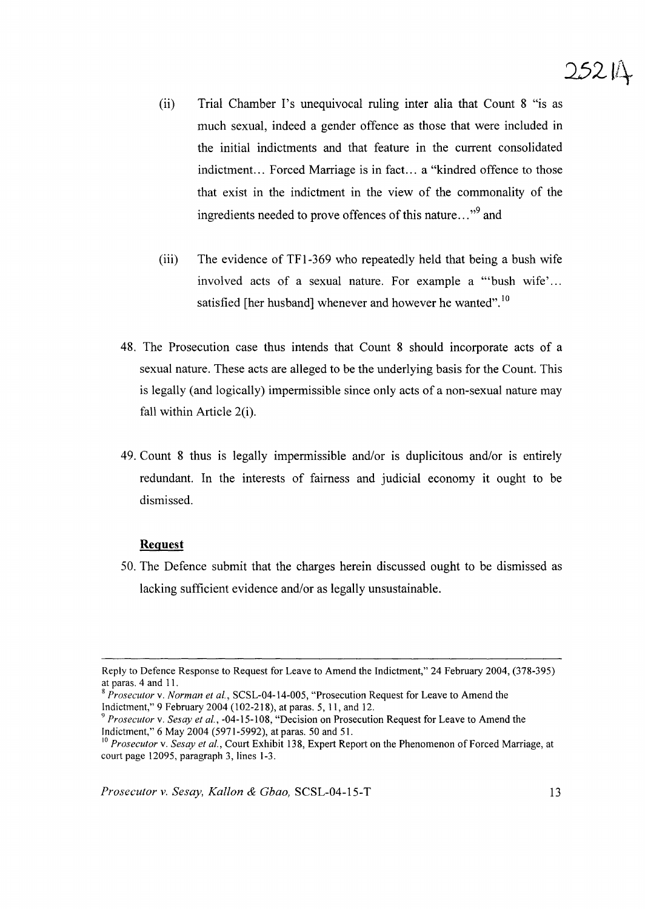# $25214$

- (ii) Trial Chamber I's unequivocal ruling inter alia that Count 8 "is as much sexual, indeed a gender offence as those that were included in the initial indictments and that feature in the current consolidated indictment... Forced Marriage is in fact... a "kindred offence to those that exist in the indictment in the view of the commonality of the ingredients needed to prove offences of this nature..."<sup>9</sup> and
- (iii) The evidence of TFl-369 who repeatedly held that being a bush wife involved acts of a sexual nature. For example a "bush wife'... satisfied [her husband] whenever and however he wanted".<sup>10</sup>
- 48. The Prosecution case thus intends that Count 8 should incorporate acts of a sexual nature. These acts are alleged to be the underlying basis for the Count. This is legally (and logically) impermissible since only acts of a non-sexual nature may fall within Article 2(i).
- 49. Count 8 thus is legally impermissible and/or is duplicitous and/or is entirely redundant. In the interests of fairness and judicial economy it ought to be dismissed.

#### **Request**

50. The Defence submit that the charges herein discussed ought to be dismissed as lacking sufficient evidence and/or as legally unsustainable.

Reply to Defence Response to Request for Leave to Amend the Indictment," 24 February 2004, (378-395) at paras. 4 and 11.

<sup>S</sup> *Prosecutor* v. *Norman et aI.,* SCSL-04-14-005, "Prosecution Request for Leave to Amend the Indictment," 9 February 2004 (102-218), at paras. 5, 11, and 12.

<sup>9</sup> *Prosecutor* v. *Sesay et aI.,* -04-15-108, "Decision on Prosecution Request for Leave to Amend the Indictment," 6 May 2004 (5971-5992), at paras. 50 and 51.

<sup>&</sup>lt;sup>10</sup> Prosecutor v. *Sesay et al.*, Court Exhibit 138, Expert Report on the Phenomenon of Forced Marriage, at court page 12095, paragraph 3, lines 1-3.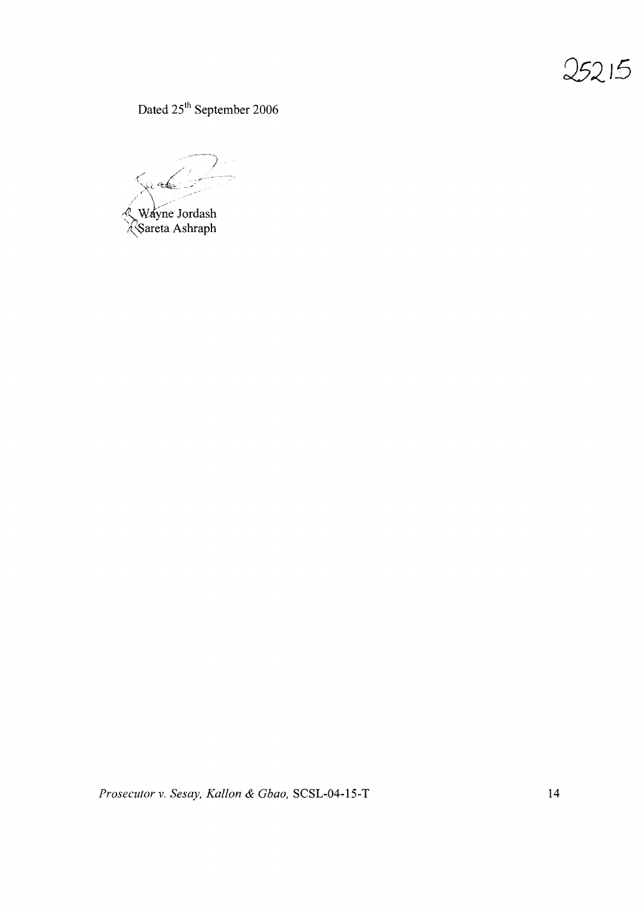Dated 25<sup>th</sup> September 2006

(./' ~/.. ., ..  $x^2$ £,J-Y~~JOrdash '\\Sareta Ashraph

*Prosecutor* v. *Sesay, Kallon* & *Gbao,* SCSL-04-15-T 14

 $25215$